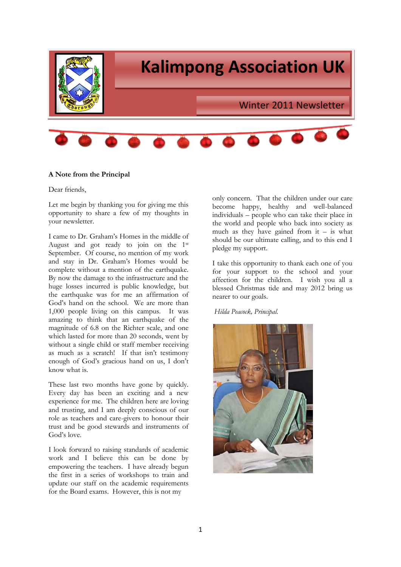

# **A Note from the Principal**

Dear friends,

Let me begin by thanking you for giving me this opportunity to share a few of my thoughts in your newsletter.

I came to Dr. Graham's Homes in the middle of August and got ready to join on the 1st September. Of course, no mention of my work and stay in Dr. Graham's Homes would be complete without a mention of the earthquake. By now the damage to the infrastructure and the huge losses incurred is public knowledge, but the earthquake was for me an affirmation of God's hand on the school. We are more than 1,000 people living on this campus. It was amazing to think that an earthquake of the magnitude of 6.8 on the Richter scale, and one which lasted for more than 20 seconds, went by without a single child or staff member receiving as much as a scratch! If that isn't testimony enough of God's gracious hand on us, I don't know what is.

These last two months have gone by quickly. Every day has been an exciting and a new experience for me. The children here are loving and trusting, and I am deeply conscious of our role as teachers and care-givers to honour their trust and be good stewards and instruments of God's love.

I look forward to raising standards of academic work and I believe this can be done by empowering the teachers. I have already begun the first in a series of workshops to train and update our staff on the academic requirements for the Board exams. However, this is not my

only concern. That the children under our care become happy, healthy and well-balanced individuals – people who can take their place in the world and people who back into society as much as they have gained from  $it - is$  what should be our ultimate calling, and to this end I pledge my support.

I take this opportunity to thank each one of you for your support to the school and your affection for the children. I wish you all a blessed Christmas tide and may 2012 bring us nearer to our goals.

*Hilda Peacock, Principal.*

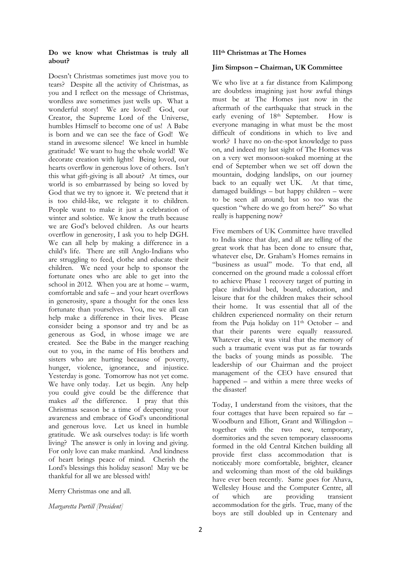## **Do we know what Christmas is truly all about?**

Doesn't Christmas sometimes just move you to tears? Despite all the activity of Christmas, as you and I reflect on the message of Christmas, wordless awe sometimes just wells up. What a wonderful story! We are loved! God, our Creator, the Supreme Lord of the Universe, humbles Himself to become one of us! A Babe is born and we can see the face of God! We stand in awesome silence! We kneel in humble gratitude! We want to hug the whole world! We decorate creation with lights! Being loved, our hearts overflow in generous love of others. Isn't this what gift-giving is all about? At times, our world is so embarrassed by being so loved by God that we try to ignore it. We pretend that it is too child-like, we relegate it to children. People want to make it just a celebration of winter and solstice. We know the truth because we are God's beloved children. As our hearts overflow in generosity, I ask you to help DGH. We can all help by making a difference in a child's life. There are still Anglo-Indians who are struggling to feed, clothe and educate their children. We need your help to sponsor the fortunate ones who are able to get into the school in 2012. When you are at home – warm, comfortable and safe – and your heart overflows in generosity, spare a thought for the ones less fortunate than yourselves. You, me we all can help make a difference in their lives. Please consider being a sponsor and try and be as generous as God, in whose image we are created. See the Babe in the manger reaching out to you, in the name of His brothers and sisters who are hurting because of poverty, hunger, violence, ignorance, and injustice. Yesterday is gone. Tomorrow has not yet come. We have only today. Let us begin. Any help you could give could be the difference that makes *all* the difference. I pray that this Christmas season be a time of deepening your awareness and embrace of God's unconditional and generous love. Let us kneel in humble gratitude. We ask ourselves today: is life worth living? The answer is only in loving and giving. For only love can make mankind. And kindness of heart brings peace of mind. Cherish the Lord's blessings this holiday season! May we be thankful for all we are blessed with!

Merry Christmas one and all.

*Margaretta Purtill [President]* 

## **111th Christmas at The Homes**

# **Jim Simpson – Chairman, UK Committee**

We who live at a far distance from Kalimpong are doubtless imagining just how awful things must be at The Homes just now in the aftermath of the earthquake that struck in the early evening of 18<sup>th</sup> September. How is everyone managing in what must be the most difficult of conditions in which to live and work? I have no on-the-spot knowledge to pass on, and indeed my last sight of The Homes was on a very wet monsoon-soaked morning at the end of September when we set off down the mountain, dodging landslips, on our journey back to an equally wet UK. At that time, damaged buildings – but happy children – were to be seen all around; but so too was the question "where do we go from here?" So what really is happening now?

Five members of UK Committee have travelled to India since that day, and all are telling of the great work that has been done to ensure that, whatever else, Dr. Graham's Homes remains in "business as usual" mode. To that end, all concerned on the ground made a colossal effort to achieve Phase 1 recovery target of putting in place individual bed, board, education, and leisure that for the children makes their school their home. It was essential that all of the children experienced normality on their return from the Puja holiday on  $11<sup>th</sup>$  October – and that their parents were equally reassured. Whatever else, it was vital that the memory of such a traumatic event was put as far towards the backs of young minds as possible. The leadership of our Chairman and the project management of the CEO have ensured that happened – and within a mere three weeks of the disaster!

Today, I understand from the visitors, that the four cottages that have been repaired so far – Woodburn and Elliott, Grant and Willingdon – together with the two new, temporary, dormitories and the seven temporary classrooms formed in the old Central Kitchen building all provide first class accommodation that is noticeably more comfortable, brighter, cleaner and welcoming than most of the old buildings have ever been recently. Same goes for Ahava, Wellesley House and the Computer Centre, all of which are providing transient accommodation for the girls. True, many of the boys are still doubled up in Centenary and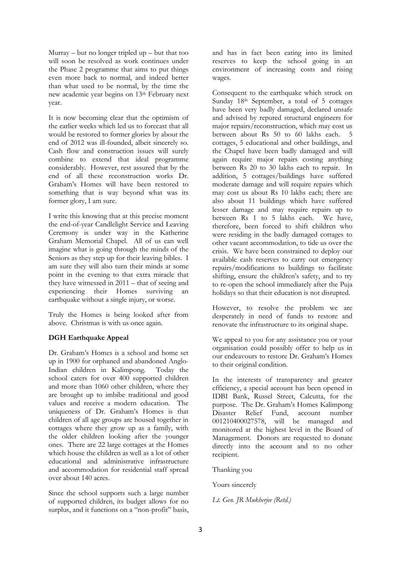$Murray - but no longer tripled up - but that too$ will soon be resolved as work continues under the Phase 2 programme that aims to put things even more back to normal, and indeed better than what used to be normal, by the time the new academic year begins on 13<sup>th</sup> February next year.

It is now becoming clear that the optimism of the earlier weeks which led us to forecast that all would be restored to former glories by about the end of 2012 was ill-founded, albeit sincerely so. Cash flow and construction issues will surely combine to extend that ideal programme considerably. However, rest assured that by the end of all these reconstruction works Dr. Graham's Homes will have been restored to something that is way beyond what was its former glory, I am sure.

I write this knowing that at this precise moment the end-of-year Candlelight Service and Leaving Ceremony is under way in the Katherine Graham Memorial Chapel. All of us can well imagine what is going through the minds of the Seniors as they step up for their leaving bibles. I am sure they will also turn their minds at some point in the evening to that extra miracle that they have witnessed in 2011 – that of seeing and experiencing their Homes surviving an earthquake without a single injury, or worse.

Truly the Homes is being looked after from above. Christmas is with us once again.

# **DGH Earthquake Appeal**

Dr. Graham's Homes is a school and home set up in 1900 for orphaned and abandoned Anglo-<br>Indian children in Kalimpong. Today the Indian children in Kalimpong. school caters for over 400 supported children and more than 1060 other children, where they are brought up to imbibe traditional and good values and receive a modern education. The uniqueness of Dr. Graham's Homes is that children of all age groups are housed together in cottages where they grow up as a family, with the older children looking after the younger ones. There are 22 large cottages at the Homes which house the children as well as a lot of other educational and administrative infrastructure and accommodation for residential staff spread over about 140 acres.

Since the school supports such a large number of supported children, its budget allows for no surplus, and it functions on a "non-profit" basis, and has in fact been eating into its limited reserves to keep the school going in an environment of increasing costs and rising wages.

Consequent to the earthquake which struck on Sunday 18<sup>th</sup> September, a total of 5 cottages have been very badly damaged, declared unsafe and advised by reputed structural engineers for major repairs/reconstruction, which may cost us between about Rs 50 to 60 lakhs each. 5 cottages, 5 educational and other buildings, and the Chapel have been badly damaged and will again require major repairs costing anything between Rs 20 to 30 lakhs each to repair. In addition, 5 cottages/buildings have suffered moderate damage and will require repairs which may cost us about Rs 10 lakhs each; there are also about 11 buildings which have suffered lesser damage and may require repairs up to between Rs 1 to 5 lakhs each. We have, therefore, been forced to shift children who were residing in the badly damaged cottages to other vacant accommodation, to tide us over the crisis. We have been constrained to deploy our available cash reserves to carry out emergency repairs/modifications to buildings to facilitate shifting, ensure the children's safety, and to try to re-open the school immediately after the Puja holidays so that their education is not disrupted.

However, to resolve the problem we are desperately in need of funds to restore and renovate the infrastructure to its original shape.

We appeal to you for any assistance you or your organisation could possibly offer to help us in our endeavours to restore Dr. Graham's Homes to their original condition.

In the interests of transparency and greater efficiency, a special account has been opened in IDBI Bank, Russel Street, Calcutta, for the purpose. The Dr. Graham's Homes Kalimpong Disaster Relief Fund, account number 001210400027578, will be managed and monitored at the highest level in the Board of Management. Donors are requested to donate directly into the account and to no other recipient.

Thanking you

Yours sincerely

*Lt. Gen. JR Mukherjee (Retd.)*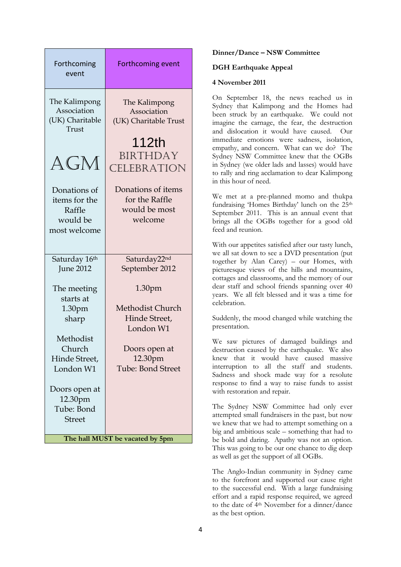| Forthcoming<br>event                                                                                                                                                    | <b>Forthcoming event</b>                                                                                                                                  |  |
|-------------------------------------------------------------------------------------------------------------------------------------------------------------------------|-----------------------------------------------------------------------------------------------------------------------------------------------------------|--|
| The Kalimpong<br>Association<br>(UK) Charitable<br>Trust<br>AGM<br>Donations of<br>items for the<br>Raffle                                                              | The Kalimpong<br>Association<br>(UK) Charitable Trust<br>112th<br><b>BIRTHDAY</b><br>CELEBRATION<br>Donations of items<br>for the Raffle<br>would be most |  |
| would be<br>most welcome                                                                                                                                                | welcome                                                                                                                                                   |  |
| Saturday 16th<br><b>June 2012</b>                                                                                                                                       | Saturday22nd<br>September 2012                                                                                                                            |  |
| The meeting<br>starts at<br>1.30 <sub>pm</sub><br>sharp<br>Methodist<br>Church<br>Hinde Street,<br>London W1<br>Doors open at<br>12.30pm<br>Tube: Bond<br><b>Street</b> | 1.30pm<br>Methodist Church<br>Hinde Street,<br>London W1<br>Doors open at<br>12.30pm<br><b>Tube: Bond Street</b>                                          |  |
| The hall MUST be vacated by 5pm                                                                                                                                         |                                                                                                                                                           |  |

### **Dinner/Dance – NSW Committee**

#### **DGH Earthquake Appeal**

#### **4 November 2011**

On September 18, the news reached us in Sydney that Kalimpong and the Homes had been struck by an earthquake. We could not imagine the carnage, the fear, the destruction and dislocation it would have caused. Our immediate emotions were sadness, isolation, empathy, and concern. What can we do? The Sydney NSW Committee knew that the OGBs in Sydney (we older lads and lasses) would have to rally and ring acclamation to dear Kalimpong in this hour of need.

We met at a pre-planned momo and thukpa fundraising 'Homes Birthday' lunch on the 25th September 2011. This is an annual event that brings all the OGBs together for a good old feed and reunion.

With our appetites satisfied after our tasty lunch, we all sat down to see a DVD presentation (put together by Alan Carey) – our Homes, with picturesque views of the hills and mountains, cottages and classrooms, and the memory of our dear staff and school friends spanning over 40 years. We all felt blessed and it was a time for celebration.

Suddenly, the mood changed while watching the presentation.

We saw pictures of damaged buildings and destruction caused by the earthquake. We also knew that it would have caused massive interruption to all the staff and students. Sadness and shock made way for a resolute response to find a way to raise funds to assist with restoration and repair.

The Sydney NSW Committee had only ever attempted small fundraisers in the past, but now we knew that we had to attempt something on a big and ambitious scale – something that had to be bold and daring. Apathy was not an option. This was going to be our one chance to dig deep as well as get the support of all OGBs.

The Anglo-Indian community in Sydney came to the forefront and supported our cause right to the successful end. With a large fundraising effort and a rapid response required, we agreed to the date of 4th November for a dinner/dance as the best option.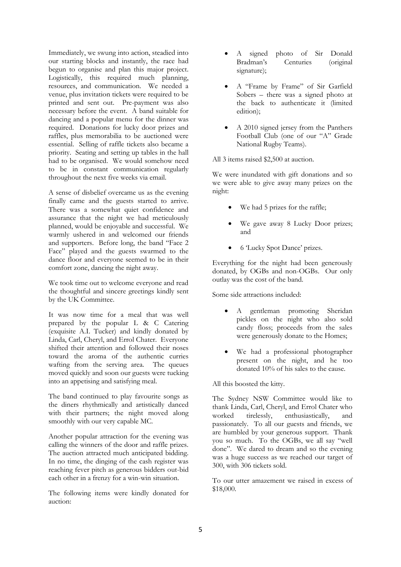Immediately, we swung into action, steadied into our starting blocks and instantly, the race had begun to organise and plan this major project. Logistically, this required much planning, resources, and communication. We needed a venue, plus invitation tickets were required to be printed and sent out. Pre-payment was also necessary before the event. A band suitable for dancing and a popular menu for the dinner was required. Donations for lucky door prizes and raffles, plus memorabilia to be auctioned were essential. Selling of raffle tickets also became a priority. Seating and setting up tables in the hall had to be organised. We would somehow need to be in constant communication regularly throughout the next five weeks via email.

A sense of disbelief overcame us as the evening finally came and the guests started to arrive. There was a somewhat quiet confidence and assurance that the night we had meticulously planned, would be enjoyable and successful. We warmly ushered in and welcomed our friends and supporters. Before long, the band "Face 2 Face" played and the guests swarmed to the dance floor and everyone seemed to be in their comfort zone, dancing the night away.

We took time out to welcome everyone and read the thoughtful and sincere greetings kindly sent by the UK Committee.

It was now time for a meal that was well prepared by the popular L & C Catering (exquisite A.I. Tucker) and kindly donated by Linda, Carl, Cheryl, and Errol Chater. Everyone shifted their attention and followed their noses toward the aroma of the authentic curries wafting from the serving area. The queues moved quickly and soon our guests were tucking into an appetising and satisfying meal.

The band continued to play favourite songs as the diners rhythmically and artistically danced with their partners; the night moved along smoothly with our very capable MC.

Another popular attraction for the evening was calling the winners of the door and raffle prizes. The auction attracted much anticipated bidding. In no time, the dinging of the cash register was reaching fever pitch as generous bidders out-bid each other in a frenzy for a win-win situation.

The following items were kindly donated for auction:

- A signed photo of Sir Donald Bradman's Centuries (original signature);
- A "Frame by Frame" of Sir Garfield Sobers – there was a signed photo at the back to authenticate it (limited edition);
- A 2010 signed jersey from the Panthers Football Club (one of our "A" Grade National Rugby Teams).

All 3 items raised \$2,500 at auction.

We were inundated with gift donations and so we were able to give away many prizes on the night:

- We had 5 prizes for the raffle;
- We gave away 8 Lucky Door prizes; and
- 6 'Lucky Spot Dance' prizes.

Everything for the night had been generously donated, by OGBs and non-OGBs. Our only outlay was the cost of the band.

Some side attractions included:

- A gentleman promoting Sheridan pickles on the night who also sold candy floss; proceeds from the sales were generously donate to the Homes;
- We had a professional photographer present on the night, and he too donated 10% of his sales to the cause.

All this boosted the kitty.

The Sydney NSW Committee would like to thank Linda, Carl, Cheryl, and Errol Chater who worked tirelessly, enthusiastically, and passionately. To all our guests and friends, we are humbled by your generous support. Thank you so much. To the OGBs, we all say "well done". We dared to dream and so the evening was a huge success as we reached our target of 300, with 306 tickets sold.

To our utter amazement we raised in excess of \$18,000.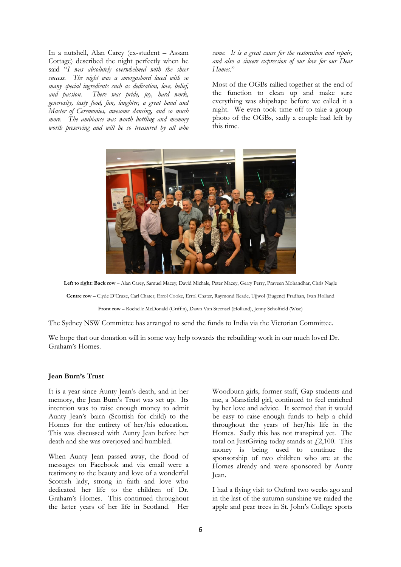In a nutshell, Alan Carey (ex-student – Assam Cottage) described the night perfectly when he said "*I was absolutely overwhelmed with the sheer success. The night was a smorgasbord laced with so many special ingredients such as dedication, love, belief, and passion. There was pride, joy, hard work, generosity, tasty food, fun, laughter, a great band and Master of Ceremonies, awesome dancing, and so much more. The ambiance was worth bottling and memory worth preserving and will be so treasured by all who*  *came. It is a great cause for the restoration and repair, and also a sincere expression of our love for our Dear Homes*."

Most of the OGBs rallied together at the end of the function to clean up and make sure everything was shipshape before we called it a night. We even took time off to take a group photo of the OGBs, sadly a couple had left by this time.



**Left to right: Back row** – Alan Carey, Samuel Macey, David Michale, Peter Macey, Gerry Perry, Praveen Mohandhar, Chris Nagle

**Centre row** – Clyde D'Cruze, Carl Chater, Errol Cooke, Errol Chater, Raymond Reade, Ujjwol (Eugene) Pradhan, Ivan Holland

**Front row** – Rochelle McDonald (Griffin), Dawn Van Steensel (Holland), Jenny Scholfield (Wise)

The Sydney NSW Committee has arranged to send the funds to India via the Victorian Committee.

We hope that our donation will in some way help towards the rebuilding work in our much loved Dr. Graham's Homes.

#### **Jean Burn's Trust**

It is a year since Aunty Jean's death, and in her memory, the Jean Burn's Trust was set up. Its intention was to raise enough money to admit Aunty Jean's bairn (Scottish for child) to the Homes for the entirety of her/his education. This was discussed with Aunty Jean before her death and she was overjoyed and humbled.

When Aunty Jean passed away, the flood of messages on Facebook and via email were a testimony to the beauty and love of a wonderful Scottish lady, strong in faith and love who dedicated her life to the children of Dr. Graham's Homes. This continued throughout the latter years of her life in Scotland. Her

Woodburn girls, former staff, Gap students and me, a Mansfield girl, continued to feel enriched by her love and advice. It seemed that it would be easy to raise enough funds to help a child throughout the years of her/his life in the Homes. Sadly this has not transpired yet. The total on JustGiving today stands at  $f2,100$ . This money is being used to continue the sponsorship of two children who are at the Homes already and were sponsored by Aunty Jean.

I had a flying visit to Oxford two weeks ago and in the last of the autumn sunshine we raided the apple and pear trees in St. John's College sports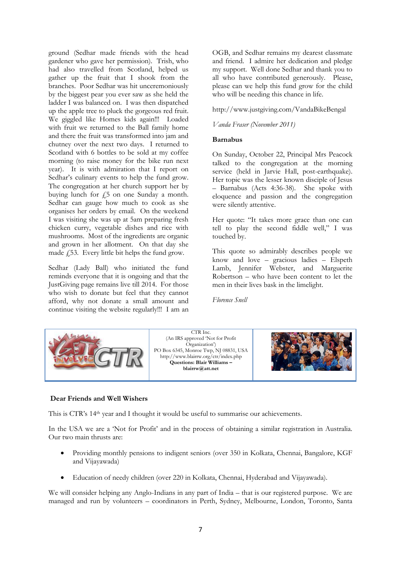ground (Sedhar made friends with the head gardener who gave her permission). Trish, who had also travelled from Scotland, helped us gather up the fruit that I shook from the branches. Poor Sedhar was hit unceremoniously by the biggest pear you ever saw as she held the ladder I was balanced on. I was then dispatched up the apple tree to pluck the gorgeous red fruit. We giggled like Homes kids again!!! Loaded with fruit we returned to the Ball family home and there the fruit was transformed into jam and chutney over the next two days. I returned to Scotland with 6 bottles to be sold at my coffee morning (to raise money for the bike run next year). It is with admiration that I report on Sedhar's culinary events to help the fund grow. The congregation at her church support her by buying lunch for  $f_5$  on one Sunday a month. Sedhar can gauge how much to cook as she organises her orders by email. On the weekend I was visiting she was up at 5am preparing fresh chicken curry, vegetable dishes and rice with mushrooms. Most of the ingredients are organic and grown in her allotment. On that day she made  $f$ 53. Every little bit helps the fund grow.

Sedhar (Lady Ball) who initiated the fund reminds everyone that it is ongoing and that the JustGiving page remains live till 2014. For those who wish to donate but feel that they cannot afford, why not donate a small amount and continue visiting the website regularly!!! I am an OGB, and Sedhar remains my dearest classmate and friend. I admire her dedication and pledge my support. Well done Sedhar and thank you to all who have contributed generously. Please, please can we help this fund grow for the child who will be needing this chance in life.

<http://www.justgiving.com/VandaBikeBengal>

### *Vanda Fraser (November 2011)*

### **Barnabus**

On Sunday, October 22, Principal Mrs Peacock talked to the congregation at the morning service (held in Jarvie Hall, post-earthquake). Her topic was the lesser known disciple of Jesus – Barnabus (Acts 4:36-38). She spoke with eloquence and passion and the congregation were silently attentive.

Her quote: "It takes more grace than one can tell to play the second fiddle well," I was touched by.

This quote so admirably describes people we know and love – gracious ladies – Elspeth Lamb, Jennifer Webster, and Marguerite Robertson – who have been content to let the men in their lives bask in the limelight.

*Florence Snell*



### **Dear Friends and Well Wishers**

This is CTR's 14th year and I thought it would be useful to summarise our achievements.

In the USA we are a 'Not for Profit' and in the process of obtaining a similar registration in Australia. Our two main thrusts are:

- Providing monthly pensions to indigent seniors (over 350 in Kolkata, Chennai, Bangalore, KGF and Vijayawada)
- Education of needy children (over 220 in Kolkata, Chennai, Hyderabad and Vijayawada).

We will consider helping any Anglo-Indians in any part of India – that is our registered purpose. We are managed and run by volunteers – coordinators in Perth, Sydney, Melbourne, London, Toronto, Santa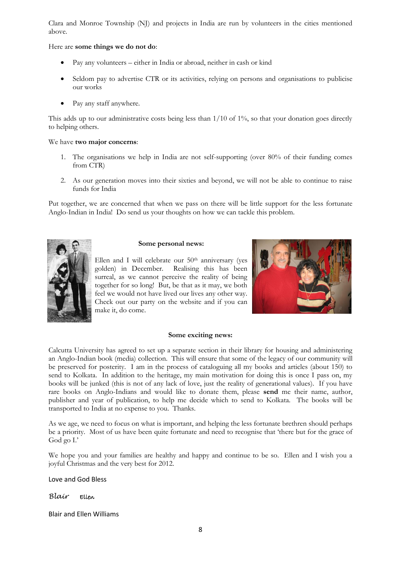Clara and Monroe Township (NJ) and projects in India are run by volunteers in the cities mentioned above.

Here are **some things we do not do**:

- Pay any volunteers either in India or abroad, neither in cash or kind
- Seldom pay to advertise CTR or its activities, relying on persons and organisations to publicise our works
- Pay any staff anywhere.

This adds up to our administrative costs being less than  $1/10$  of  $1\%$ , so that your donation goes directly to helping others.

### We have **two major concerns**:

- 1. The organisations we help in India are not self-supporting (over 80% of their funding comes from CTR)
- 2. As our generation moves into their sixties and beyond, we will not be able to continue to raise funds for India

Put together, we are concerned that when we pass on there will be little support for the less fortunate Anglo-Indian in India! Do send us your thoughts on how we can tackle this problem.



#### **Some personal news:**

Ellen and I will celebrate our  $50<sup>th</sup>$  anniversary (yes golden) in December. Realising this has been surreal, as we cannot perceive the reality of being together for so long! But, be that as it may, we both feel we would not have lived our lives any other way. Check out our party on the website and if you can make it, do come.



#### **Some exciting news:**

Calcutta University has agreed to set up a separate section in their library for housing and administering an Anglo-Indian book (media) collection. This will ensure that some of the legacy of our community will be preserved for posterity. I am in the process of cataloguing all my books and articles (about 150) to send to Kolkata. In addition to the heritage, my main motivation for doing this is once I pass on, my books will be junked (this is not of any lack of love, just the reality of generational values). If you have rare books on Anglo-Indians and would like to donate them, please **send** me their name, author, publisher and year of publication, to help me decide which to send to Kolkata. The books will be transported to India at no expense to you. Thanks.

As we age, we need to focus on what is important, and helping the less fortunate brethren should perhaps be a priority. Most of us have been quite fortunate and need to recognise that 'there but for the grace of God go I.'

We hope you and your families are healthy and happy and continue to be so. Ellen and I wish you a joyful Christmas and the very best for 2012.

Love and God Bless

### *Blair* Ellen

Blair and Ellen Williams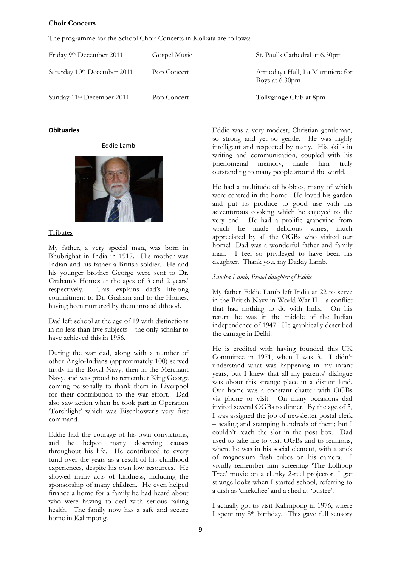# **Choir Concerts**

The programme for the School Choir Concerts in Kolkata are follows:

| Friday 9th December 2011              | Gospel Music | St. Paul's Cathedral at 6.30pm                     |
|---------------------------------------|--------------|----------------------------------------------------|
| Saturday 10th December 2011           | Pop Concert  | Atmodaya Hall, La Martiniere for<br>Boys at 6.30pm |
| Sunday 11 <sup>th</sup> December 2011 | Pop Concert  | Tollygunge Club at 8pm                             |

## **Obituaries**

## Eddie Lamb



# Tributes

My father, a very special man, was born in Bhubrighat in India in 1917. His mother was Indian and his father a British soldier. He and his younger brother George were sent to Dr. Graham's Homes at the ages of 3 and 2 years' respectively. This explains dad's lifelong commitment to Dr. Graham and to the Homes, having been nurtured by them into adulthood.

Dad left school at the age of 19 with distinctions in no less than five subjects – the only scholar to have achieved this in 1936.

During the war dad, along with a number of other Anglo-Indians (approximately 100) served firstly in the Royal Navy, then in the Merchant Navy, and was proud to remember King George coming personally to thank them in Liverpool for their contribution to the war effort. Dad also saw action when he took part in Operation 'Torchlight' which was Eisenhower's very first command.

Eddie had the courage of his own convictions, and he helped many deserving causes throughout his life. He contributed to every fund over the years as a result of his childhood experiences, despite his own low resources. He showed many acts of kindness, including the sponsorship of many children. He even helped finance a home for a family he had heard about who were having to deal with serious failing health. The family now has a safe and secure home in Kalimpong.

Eddie was a very modest, Christian gentleman, so strong and yet so gentle. He was highly intelligent and respected by many. His skills in writing and communication, coupled with his phenomenal memory, made him truly outstanding to many people around the world.

He had a multitude of hobbies, many of which were centred in the home. He loved his garden and put its produce to good use with his adventurous cooking which he enjoyed to the very end. He had a prolific grapevine from which he made delicious wines, much appreciated by all the OGBs who visited our home! Dad was a wonderful father and family man. I feel so privileged to have been his daughter. Thank you, my Daddy Lamb.

# *Sandra Lamb, Proud daughter of Eddie*

My father Eddie Lamb left India at 22 to serve in the British Navy in World War II – a conflict that had nothing to do with India. On his return he was in the middle of the Indian independence of 1947. He graphically described the carnage in Delhi.

He is credited with having founded this UK Committee in 1971, when I was 3. I didn't understand what was happening in my infant years, but I knew that all my parents' dialogue was about this strange place in a distant land. Our home was a constant chatter with OGBs via phone or visit. On many occasions dad invited several OGBs to dinner. By the age of 5, I was assigned the job of newsletter postal clerk – sealing and stamping hundreds of them; but I couldn't reach the slot in the post box. Dad used to take me to visit OGBs and to reunions, where he was in his social element, with a stick of magnesium flash cubes on his camera. I vividly remember him screening 'The Lollipop Tree' movie on a clunky 2-reel projector. I got strange looks when I started school, referring to a dish as 'dhekchee' and a shed as 'bustee'.

I actually got to visit Kalimpong in 1976, where I spent my 8th birthday. This gave full sensory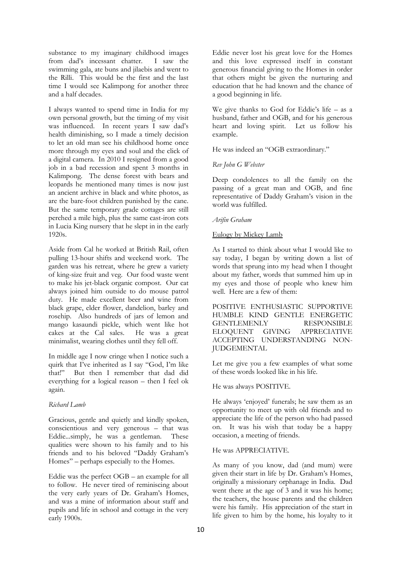substance to my imaginary childhood images from dad's incessant chatter. I saw the swimming gala, ate buns and jilaebis and went to the Rilli. This would be the first and the last time I would see Kalimpong for another three and a half decades.

I always wanted to spend time in India for my own personal growth, but the timing of my visit was influenced. In recent years I saw dad's health diminishing, so I made a timely decision to let an old man see his childhood home once more through my eyes and soul and the click of a digital camera. In 2010 I resigned from a good job in a bad recession and spent 3 months in Kalimpong. The dense forest with bears and leopards he mentioned many times is now just an ancient archive in black and white photos, as are the bare-foot children punished by the cane. But the same temporary grade cottages are still perched a mile high, plus the same cast-iron cots in Lucia King nursery that he slept in in the early 1920s.

Aside from Cal he worked at British Rail, often pulling 13-hour shifts and weekend work. The garden was his retreat, where he grew a variety of king-size fruit and veg. Our food waste went to make his jet-black organic compost. Our cat always joined him outside to do mouse patrol duty. He made excellent beer and wine from black grape, elder flower, dandelion, barley and rosehip. Also hundreds of jars of lemon and mango kasaundi pickle, which went like hot cakes at the Cal sales. He was a great minimalist, wearing clothes until they fell off.

In middle age I now cringe when I notice such a quirk that I've inherited as I say "God, I'm like that!" But then I remember that dad did everything for a logical reason – then I feel ok again.

# *Richard Lamb*

Gracious, gentle and quietly and kindly spoken, conscientious and very generous – that was Eddie...simply, he was a gentleman. These qualities were shown to his family and to his friends and to his beloved "Daddy Graham's Homes" – perhaps especially to the Homes.

Eddie was the perfect OGB – an example for all to follow. He never tired of reminiscing about the very early years of Dr. Graham's Homes, and was a mine of information about staff and pupils and life in school and cottage in the very early 1900s.

Eddie never lost his great love for the Homes and this love expressed itself in constant generous financial giving to the Homes in order that others might be given the nurturing and education that he had known and the chance of a good beginning in life.

We give thanks to God for Eddie's life – as a husband, father and OGB, and for his generous heart and loving spirit. Let us follow his example.

He was indeed an "OGB extraordinary."

*Rev John G Webster*

Deep condolences to all the family on the passing of a great man and OGB, and fine representative of Daddy Graham's vision in the world was fulfilled.

## *Arifin Graham*

## Eulogy by Mickey Lamb

As I started to think about what I would like to say today, I began by writing down a list of words that sprung into my head when I thought about my father, words that summed him up in my eyes and those of people who knew him well. Here are a few of them:

POSITIVE ENTHUSIASTIC SUPPORTIVE HUMBLE KIND GENTLE ENERGETIC GENTLEMENLY RESPONSIBLE<br>ELOQUENT GIVING APPRECIATIVE GIVING APPRECIATIVE ACCEPTING UNDERSTANDING NON-JUDGEMENTAL

Let me give you a few examples of what some of these words looked like in his life.

He was always POSITIVE.

He always 'enjoyed' funerals; he saw them as an opportunity to meet up with old friends and to appreciate the life of the person who had passed on. It was his wish that today be a happy occasion, a meeting of friends.

# He was APPRECIATIVE.

As many of you know, dad (and mum) were given their start in life by Dr. Graham's Homes, originally a missionary orphanage in India. Dad went there at the age of 3 and it was his home; the teachers, the house parents and the children were his family. His appreciation of the start in life given to him by the home, his loyalty to it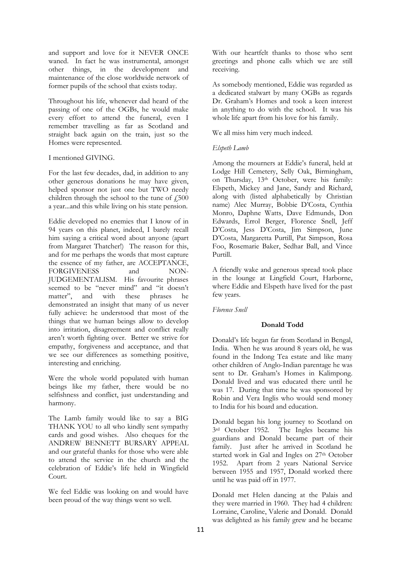and support and love for it NEVER ONCE waned. In fact he was instrumental, amongst other things, in the development and maintenance of the close worldwide network of former pupils of the school that exists today.

Throughout his life, whenever dad heard of the passing of one of the OGBs, he would make every effort to attend the funeral, even I remember travelling as far as Scotland and straight back again on the train, just so the Homes were represented.

### I mentioned GIVING.

For the last few decades, dad, in addition to any other generous donations he may have given, helped sponsor not just one but TWO needy children through the school to the tune of  $f$ ,500 a year...and this while living on his state pension.

Eddie developed no enemies that I know of in 94 years on this planet, indeed, I barely recall him saying a critical word about anyone (apart from Margaret Thatcher!) The reason for this, and for me perhaps the words that most capture the essence of my father, are ACCEPTANCE, FORGIVENESS and NON-JUDGEMENTALISM. His favourite phrases seemed to be "never mind" and "it doesn't matter", and with these phrases he demonstrated an insight that many of us never fully achieve: he understood that most of the things that we human beings allow to develop into irritation, disagreement and conflict really aren't worth fighting over. Better we strive for empathy, forgiveness and acceptance, and that we see our differences as something positive, interesting and enriching.

Were the whole world populated with human beings like my father, there would be no selfishness and conflict, just understanding and harmony.

The Lamb family would like to say a BIG THANK YOU to all who kindly sent sympathy cards and good wishes. Also cheques for the ANDREW BENNETT BURSARY APPEAL and our grateful thanks for those who were able to attend the service in the church and the celebration of Eddie's life held in Wingfield Court.

We feel Eddie was looking on and would have been proud of the way things went so well.

With our heartfelt thanks to those who sent greetings and phone calls which we are still receiving.

As somebody mentioned, Eddie was regarded as a dedicated stalwart by many OGBs as regards Dr. Graham's Homes and took a keen interest in anything to do with the school. It was his whole life apart from his love for his family.

We all miss him very much indeed.

# *Elspeth Lamb*

Among the mourners at Eddie's funeral, held at Lodge Hill Cemetery, Selly Oak, Birmingham, on Thursday, 13th October, were his family: Elspeth, Mickey and Jane, Sandy and Richard, along with (listed alphabetically by Christian name) Alec Murray, Bobbie D'Costa, Cynthia Monro, Daphne Watts, Dave Edmunds, Don Edwards, Errol Berger, Florence Snell, Jeff D'Costa, Jess D'Costa, Jim Simpson, June D'Costa, Margaretta Purtill, Pat Simpson, Rosa Foo, Rosemarie Baker, Sedhar Ball, and Vince Purtill.

A friendly wake and generous spread took place in the lounge at Lingfield Court, Harborne, where Eddie and Elspeth have lived for the past few years.

*Florence Snell*

### **Donald Todd**

Donald's life began far from Scotland in Bengal, India. When he was around 8 years old, he was found in the Indong Tea estate and like many other children of Anglo-Indian parentage he was sent to Dr. Graham's Homes in Kalimpong. Donald lived and was educated there until he was 17. During that time he was sponsored by Robin and Vera Inglis who would send money to India for his board and education.

Donald began his long journey to Scotland on 3rd October 1952. The Ingles became his guardians and Donald became part of their family. Just after he arrived in Scotland he started work in Gal and Ingles on 27<sup>th</sup> October 1952. Apart from 2 years National Service between 1955 and 1957, Donald worked there until he was paid off in 1977.

Donald met Helen dancing at the Palais and they were married in 1960. They had 4 children: Lorraine, Caroline, Valerie and Donald. Donald was delighted as his family grew and he became